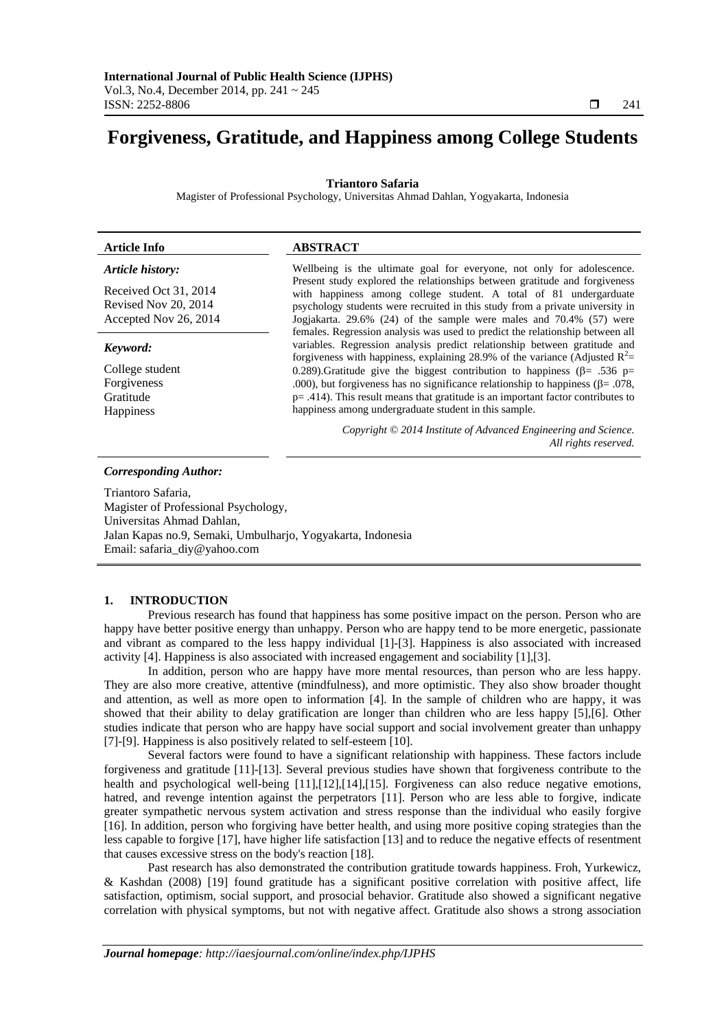# **Forgiveness, Gratitude, and Happiness among College Students**

# **Triantoro Safaria**

Magister of Professional Psychology, Universitas Ahmad Dahlan, Yogyakarta, Indonesia

| <b>Article Info</b>   | <b>ABSTRACT</b>                                                                                                                                                                                                                              |
|-----------------------|----------------------------------------------------------------------------------------------------------------------------------------------------------------------------------------------------------------------------------------------|
| Article history:      | Wellbeing is the ultimate goal for everyone, not only for adolescence.                                                                                                                                                                       |
| Received Oct 31, 2014 | Present study explored the relationships between gratitude and forgiveness<br>with happiness among college student. A total of 81 undergarduate                                                                                              |
| Revised Nov 20, 2014  | psychology students were recruited in this study from a private university in                                                                                                                                                                |
| Accepted Nov 26, 2014 | Jogjakarta. 29.6% (24) of the sample were males and 70.4% (57) were                                                                                                                                                                          |
| Keyword:              | females. Regression analysis was used to predict the relationship between all<br>variables. Regression analysis predict relationship between gratitude and<br>forgiveness with happiness, explaining 28.9% of the variance (Adjusted $R^2$ = |
| College student       | 0.289). Gratitude give the biggest contribution to happiness ( $\beta$ = .536 p=                                                                                                                                                             |
| Forgiveness           | .000), but forgiveness has no significance relationship to happiness ( $\beta$ = .078,                                                                                                                                                       |
| Gratitude             | $p = .414$ ). This result means that gratitude is an important factor contributes to                                                                                                                                                         |
| <b>Happiness</b>      | happiness among undergraduate student in this sample.                                                                                                                                                                                        |
|                       | Copyright © 2014 Institute of Advanced Engineering and Science.<br>All rights reserved.                                                                                                                                                      |

#### *Corresponding Author:*

Triantoro Safaria, Magister of Professional Psychology, Universitas Ahmad Dahlan, Jalan Kapas no.9, Semaki, Umbulharjo, Yogyakarta, Indonesia Email: safaria\_diy@yahoo.com

# **1. INTRODUCTION**

Previous research has found that happiness has some positive impact on the person. Person who are happy have better positive energy than unhappy. Person who are happy tend to be more energetic, passionate and vibrant as compared to the less happy individual [1]-[3]. Happiness is also associated with increased activity [4]. Happiness is also associated with increased engagement and sociability [1],[3].

In addition, person who are happy have more mental resources, than person who are less happy. They are also more creative, attentive (mindfulness), and more optimistic. They also show broader thought and attention, as well as more open to information [4]. In the sample of children who are happy, it was showed that their ability to delay gratification are longer than children who are less happy [5],[6]. Other studies indicate that person who are happy have social support and social involvement greater than unhappy [7]-[9]. Happiness is also positively related to self-esteem [10].

Several factors were found to have a significant relationship with happiness. These factors include forgiveness and gratitude [11]-[13]. Several previous studies have shown that forgiveness contribute to the health and psychological well-being [11],[12],[14],[15]. Forgiveness can also reduce negative emotions, hatred, and revenge intention against the perpetrators [11]. Person who are less able to forgive, indicate greater sympathetic nervous system activation and stress response than the individual who easily forgive [16]. In addition, person who forgiving have better health, and using more positive coping strategies than the less capable to forgive [17], have higher life satisfaction [13] and to reduce the negative effects of resentment that causes excessive stress on the body's reaction [18].

Past research has also demonstrated the contribution gratitude towards happiness. Froh, Yurkewicz, & Kashdan (2008) [19] found gratitude has a significant positive correlation with positive affect, life satisfaction, optimism, social support, and prosocial behavior. Gratitude also showed a significant negative correlation with physical symptoms, but not with negative affect. Gratitude also shows a strong association

ֺֺ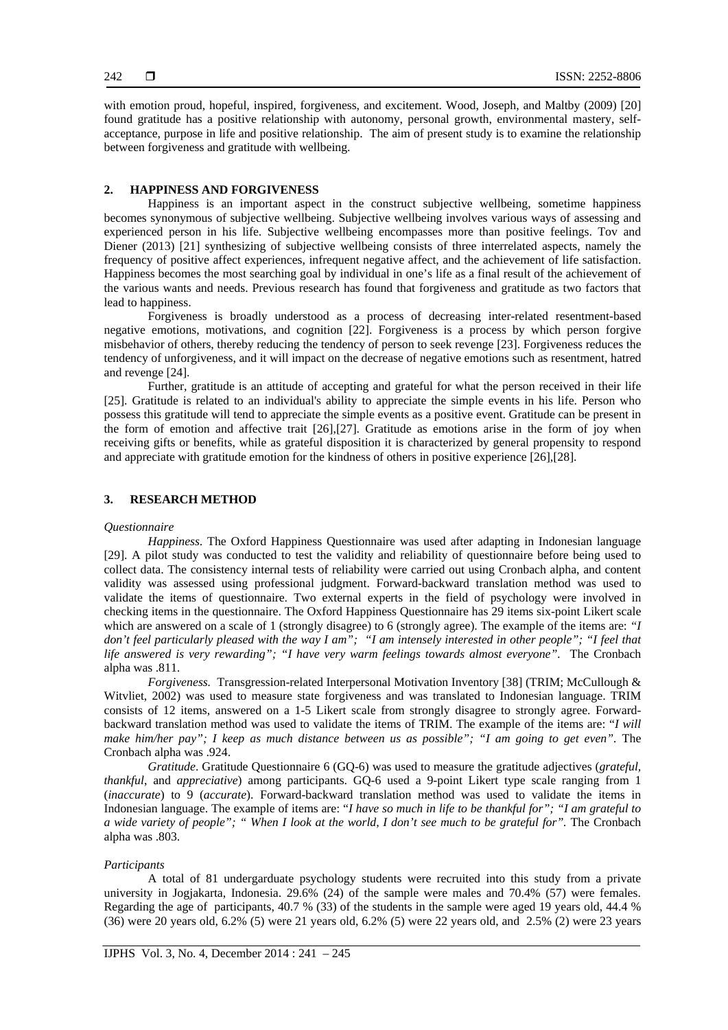with emotion proud, hopeful, inspired, forgiveness, and excitement. Wood, Joseph, and Maltby (2009) [20] found gratitude has a positive relationship with autonomy, personal growth, environmental mastery, selfacceptance, purpose in life and positive relationship. The aim of present study is to examine the relationship between forgiveness and gratitude with wellbeing.

# **2. HAPPINESS AND FORGIVENESS**

Happiness is an important aspect in the construct subjective wellbeing, sometime happiness becomes synonymous of subjective wellbeing. Subjective wellbeing involves various ways of assessing and experienced person in his life. Subjective wellbeing encompasses more than positive feelings. Tov and Diener (2013) [21] synthesizing of subjective wellbeing consists of three interrelated aspects, namely the frequency of positive affect experiences, infrequent negative affect, and the achievement of life satisfaction. Happiness becomes the most searching goal by individual in one's life as a final result of the achievement of the various wants and needs. Previous research has found that forgiveness and gratitude as two factors that lead to happiness.

Forgiveness is broadly understood as a process of decreasing inter-related resentment-based negative emotions, motivations, and cognition [22]. Forgiveness is a process by which person forgive misbehavior of others, thereby reducing the tendency of person to seek revenge [23]. Forgiveness reduces the tendency of unforgiveness, and it will impact on the decrease of negative emotions such as resentment, hatred and revenge [24].

Further, gratitude is an attitude of accepting and grateful for what the person received in their life [25]. Gratitude is related to an individual's ability to appreciate the simple events in his life. Person who possess this gratitude will tend to appreciate the simple events as a positive event. Gratitude can be present in the form of emotion and affective trait [26],[27]. Gratitude as emotions arise in the form of joy when receiving gifts or benefits, while as grateful disposition it is characterized by general propensity to respond and appreciate with gratitude emotion for the kindness of others in positive experience [26],[28].

# **3. RESEARCH METHOD**

### *Questionnaire*

*Happiness*. The Oxford Happiness Questionnaire was used after adapting in Indonesian language [29]. A pilot study was conducted to test the validity and reliability of questionnaire before being used to collect data. The consistency internal tests of reliability were carried out using Cronbach alpha, and content validity was assessed using professional judgment. Forward-backward translation method was used to validate the items of questionnaire. Two external experts in the field of psychology were involved in checking items in the questionnaire. The Oxford Happiness Questionnaire has 29 items six-point Likert scale which are answered on a scale of 1 (strongly disagree) to 6 (strongly agree). The example of the items are: *"I don't feel particularly pleased with the way I am"; "I am intensely interested in other people"; "I feel that life answered is very rewarding"; "I have very warm feelings towards almost everyone".* The Cronbach alpha was .811.

*Forgiveness.* Transgression-related Interpersonal Motivation Inventory [38] (TRIM; McCullough & Witvliet, 2002) was used to measure state forgiveness and was translated to Indonesian language. TRIM consists of 12 items, answered on a 1-5 Likert scale from strongly disagree to strongly agree. Forwardbackward translation method was used to validate the items of TRIM. The example of the items are: "*I will make him/her pay"; I keep as much distance between us as possible"; "I am going to get even".* The Cronbach alpha was .924.

*Gratitude*. Gratitude Questionnaire 6 (GQ-6) was used to measure the gratitude adjectives (*grateful, thankful*, and *appreciative*) among participants. GQ-6 used a 9-point Likert type scale ranging from 1 (*inaccurate*) to 9 (*accurate*). Forward-backward translation method was used to validate the items in Indonesian language. The example of items are: "*I have so much in life to be thankful for"; "I am grateful to a wide variety of people"; " When I look at the world, I don't see much to be grateful for".* The Cronbach alpha was .803.

### *Participants*

A total of 81 undergarduate psychology students were recruited into this study from a private university in Jogjakarta, Indonesia. 29.6% (24) of the sample were males and 70.4% (57) were females. Regarding the age of participants, 40.7 % (33) of the students in the sample were aged 19 years old, 44.4 % (36) were 20 years old, 6.2% (5) were 21 years old, 6.2% (5) were 22 years old, and 2.5% (2) were 23 years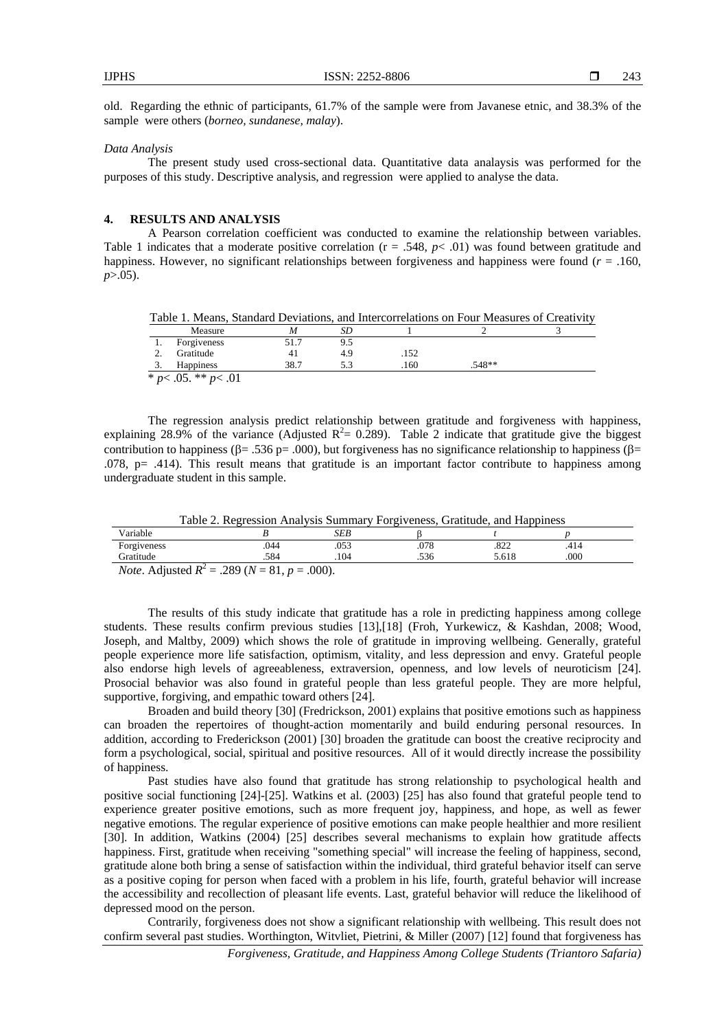old. Regarding the ethnic of participants, 61.7% of the sample were from Javanese etnic, and 38.3% of the sample were others (*borneo, sundanese, malay*).

#### *Data Analysis*

The present study used cross-sectional data. Quantitative data analaysis was performed for the purposes of this study. Descriptive analysis, and regression were applied to analyse the data.

#### **4. RESULTS AND ANALYSIS**

A Pearson correlation coefficient was conducted to examine the relationship between variables. Table 1 indicates that a moderate positive correlation  $(r = .548, p < .01)$  was found between gratitude and happiness. However, no significant relationships between forgiveness and happiness were found ( $r = .160$ , *p*>.05).

Table 1. Means, Standard Deviations, and Intercorrelations on Four Measures of Creativity

|     | Measure               | M    | 5D. |      |          |  |
|-----|-----------------------|------|-----|------|----------|--|
|     | Forgiveness           | 51.1 | 9.5 |      |          |  |
| ٠.  | Gratitude             | 41   | 4.9 | .152 |          |  |
| . . | <b>Happiness</b>      | 38.7 |     | .160 | $.548**$ |  |
|     | $*_{n>05}$ $*_{n>01}$ |      |     |      |          |  |

\* *p*< .05. \*\* *p*< .01

The regression analysis predict relationship between gratitude and forgiveness with happiness, explaining 28.9% of the variance (Adjusted  $R^2 = 0.289$ ). Table 2 indicate that gratitude give the biggest contribution to happiness ( $\beta$  = .536 p= .000), but forgiveness has no significance relationship to happiness ( $\beta$  =  $.078$ , p= .414). This result means that gratitude is an important factor contribute to happiness among undergraduate student in this sample.

Table 2. Regression Analysis Summary Forgiveness, Gratitude, and Happiness

| .<br>$ -$<br>Variable         |                 | CDD<br>ىتتە   |              |                     |      |  |
|-------------------------------|-----------------|---------------|--------------|---------------------|------|--|
| $\blacksquare$<br>Forgiveness | 044<br>$. \cup$ | .053          | 0.70<br>.010 | 0.22<br>ے∠ہ.        | .    |  |
| .iratıtude                    | 50A<br>-ت       | $\alpha$<br>. | $\sim$       | $\sim$ 1.0<br>2.01c | .000 |  |
|                               |                 |               |              |                     |      |  |

*Note*. Adjusted  $R^2 = .289$  ( $N = 81$ ,  $p = .000$ ).

The results of this study indicate that gratitude has a role in predicting happiness among college students. These results confirm previous studies [13],[18] (Froh, Yurkewicz, & Kashdan, 2008; Wood, Joseph, and Maltby, 2009) which shows the role of gratitude in improving wellbeing. Generally, grateful people experience more life satisfaction, optimism, vitality, and less depression and envy. Grateful people also endorse high levels of agreeableness, extraversion, openness, and low levels of neuroticism [24]. Prosocial behavior was also found in grateful people than less grateful people. They are more helpful, supportive, forgiving, and empathic toward others [24].

Broaden and build theory [30] (Fredrickson, 2001) explains that positive emotions such as happiness can broaden the repertoires of thought-action momentarily and build enduring personal resources. In addition, according to Frederickson (2001) [30] broaden the gratitude can boost the creative reciprocity and form a psychological, social, spiritual and positive resources. All of it would directly increase the possibility of happiness.

Past studies have also found that gratitude has strong relationship to psychological health and positive social functioning [24]-[25]. Watkins et al. (2003) [25] has also found that grateful people tend to experience greater positive emotions, such as more frequent joy, happiness, and hope, as well as fewer negative emotions. The regular experience of positive emotions can make people healthier and more resilient [30]. In addition, Watkins (2004) [25] describes several mechanisms to explain how gratitude affects happiness. First, gratitude when receiving "something special" will increase the feeling of happiness, second, gratitude alone both bring a sense of satisfaction within the individual, third grateful behavior itself can serve as a positive coping for person when faced with a problem in his life, fourth, grateful behavior will increase the accessibility and recollection of pleasant life events. Last, grateful behavior will reduce the likelihood of depressed mood on the person.

Contrarily, forgiveness does not show a significant relationship with wellbeing. This result does not confirm several past studies. Worthington, Witvliet, Pietrini, & Miller (2007) [12] found that forgiveness has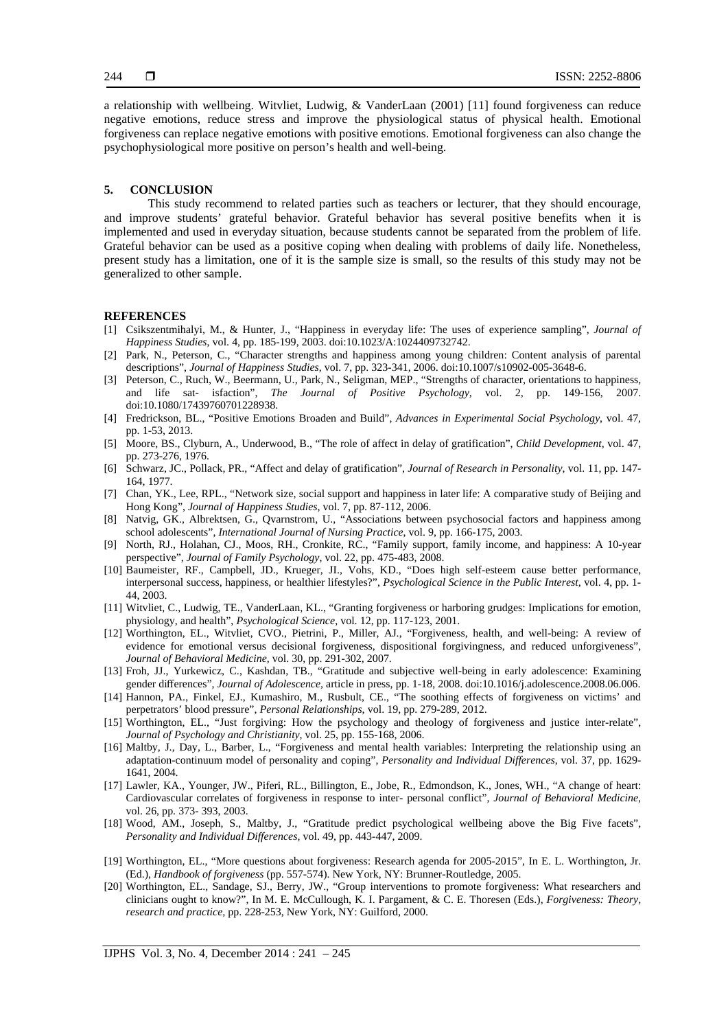a relationship with wellbeing. Witvliet, Ludwig, & VanderLaan (2001) [11] found forgiveness can reduce negative emotions, reduce stress and improve the physiological status of physical health. Emotional forgiveness can replace negative emotions with positive emotions. Emotional forgiveness can also change the psychophysiological more positive on person's health and well-being.

#### **5. CONCLUSION**

This study recommend to related parties such as teachers or lecturer, that they should encourage, and improve students' grateful behavior. Grateful behavior has several positive benefits when it is implemented and used in everyday situation, because students cannot be separated from the problem of life. Grateful behavior can be used as a positive coping when dealing with problems of daily life. Nonetheless, present study has a limitation, one of it is the sample size is small, so the results of this study may not be generalized to other sample.

#### **REFERENCES**

- [1] Csikszentmihalyi, M., & Hunter, J., "Happiness in everyday life: The uses of experience sampling", *Journal of Happiness Studies*, vol. 4, pp. 185-199, 2003. doi:10.1023/A:1024409732742.
- [2] Park, N., Peterson, C., "Character strengths and happiness among young children: Content analysis of parental descriptions", *Journal of Happiness Studies*, vol. 7, pp. 323-341, 2006. doi:10.1007/s10902-005-3648-6.
- [3] Peterson, C., Ruch, W., Beermann, U., Park, N., Seligman, MEP., "Strengths of character, orientations to happiness, and life sat- isfaction", *The Journal of Positive Psychology*, vol. 2, pp. 149-156, 2007. doi:10.1080/17439760701228938.
- [4] Fredrickson, BL., "Positive Emotions Broaden and Build", *Advances in Experimental Social Psychology*, vol. 47, pp. 1-53, 2013.
- [5] Moore, BS., Clyburn, A., Underwood, B., "The role of affect in delay of gratification", *Child Development*, vol. 47, pp. 273-276, 1976.
- [6] Schwarz, JC., Pollack, PR., "Affect and delay of gratification", *Journal of Research in Personality*, vol. 11, pp. 147- 164, 1977.
- [7] Chan, YK., Lee, RPL., "Network size, social support and happiness in later life: A comparative study of Beijing and Hong Kong", *Journal of Happiness Studies*, vol. 7, pp. 87-112, 2006.
- [8] Natvig, GK., Albrektsen, G., Qvarnstrom, U., "Associations between psychosocial factors and happiness among school adolescents", *International Journal of Nursing Practice*, vol. 9, pp. 166-175, 2003.
- [9] North, RJ., Holahan, CJ., Moos, RH., Cronkite, RC., "Family support, family income, and happiness: A 10-year perspective", *Journal of Family Psychology*, vol. 22, pp. 475-483, 2008.
- [10] Baumeister, RF., Campbell, JD., Krueger, JI., Vohs, KD., "Does high self-esteem cause better performance, interpersonal success, happiness, or healthier lifestyles?", *Psychological Science in the Public Interest*, vol. 4, pp. 1- 44, 2003.
- [11] Witvliet, C., Ludwig, TE., VanderLaan, KL., "Granting forgiveness or harboring grudges: Implications for emotion, physiology, and health", *Psychological Science*, vol. 12, pp. 117-123, 2001.
- [12] Worthington, EL., Witvliet, CVO., Pietrini, P., Miller, AJ., "Forgiveness, health, and well-being: A review of evidence for emotional versus decisional forgiveness, dispositional forgivingness, and reduced unforgiveness", *Journal of Behavioral Medicine*, vol. 30, pp. 291-302, 2007.
- [13] Froh, JJ., Yurkewicz, C., Kashdan, TB., "Gratitude and subjective well-being in early adolescence: Examining gender differences", *Journal of Adolescence,* article in press, pp. 1-18, 2008. doi:10.1016/j.adolescence.2008.06.006.
- [14] Hannon, PA., Finkel, EJ., Kumashiro, M., Rusbult, CE., "The soothing effects of forgiveness on victims' and perpetrators' blood pressure", *Personal Relationships*, vol. 19, pp. 279-289, 2012.
- [15] Worthington, EL., "Just forgiving: How the psychology and theology of forgiveness and justice inter-relate", *Journal of Psychology and Christianity*, vol. 25, pp. 155-168, 2006.
- [16] Maltby, J., Day, L., Barber, L., "Forgiveness and mental health variables: Interpreting the relationship using an adaptation-continuum model of personality and coping", *Personality and Individual Differences*, vol. 37, pp. 1629- 1641, 2004.
- [17] Lawler, KA., Younger, JW., Piferi, RL., Billington, E., Jobe, R., Edmondson, K., Jones, WH., "A change of heart: Cardiovascular correlates of forgiveness in response to inter- personal conflict", *Journal of Behavioral Medicine*, vol. 26, pp. 373- 393, 2003.
- [18] Wood, AM., Joseph, S., Maltby, J., "Gratitude predict psychological wellbeing above the Big Five facets", *Personality and Individual Differences,* vol. 49*,* pp. 443-447, 2009.
- [19] Worthington, EL., "More questions about forgiveness: Research agenda for 2005-2015", In E. L. Worthington, Jr. (Ed.), *Handbook of forgiveness* (pp. 557-574). New York, NY: Brunner-Routledge, 2005.
- [20] Worthington, EL., Sandage, SJ., Berry, JW., "Group interventions to promote forgiveness: What researchers and clinicians ought to know?", In M. E. McCullough, K. I. Pargament, & C. E. Thoresen (Eds.), *Forgiveness: Theory, research and practice,* pp. 228-253, New York, NY: Guilford, 2000.